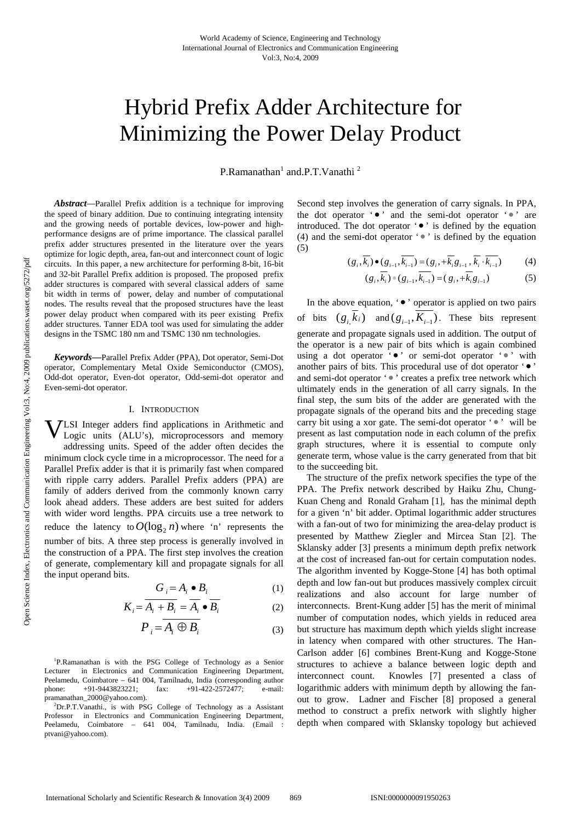# Hybrid Prefix Adder Architecture for Minimizing the Power Delay Product

P.Ramanathan<sup>1</sup> and.P.T.Vanathi<sup>2</sup>

*Abstract—*Parallel Prefix addition is a technique for improving the speed of binary addition. Due to continuing integrating intensity and the growing needs of portable devices, low-power and highperformance designs are of prime importance. The classical parallel prefix adder structures presented in the literature over the years optimize for logic depth, area, fan-out and interconnect count of logic circuits. In this paper, a new architecture for performing 8-bit, 16-bit and 32-bit Parallel Prefix addition is proposed. The proposed prefix adder structures is compared with several classical adders of same bit width in terms of power, delay and number of computational nodes. The results reveal that the proposed structures have the least power delay product when compared with its peer existing Prefix adder structures. Tanner EDA tool was used for simulating the adder designs in the TSMC 180 nm and TSMC 130 nm technologies.

*Keywords***—**Parallel Prefix Adder (PPA), Dot operator, Semi-Dot operator, Complementary Metal Oxide Semiconductor (CMOS), Odd-dot operator, Even-dot operator, Odd-semi-dot operator and Even-semi-dot operator.

## I. INTRODUCTION

**VLSI** Integer adders find applications in Arithmetic and Logic units (ALU's), microprocessors and memory Logic units (ALU's), microprocessors and memory addressing units. Speed of the adder often decides the minimum clock cycle time in a microprocessor. The need for a Parallel Prefix adder is that it is primarily fast when compared with ripple carry adders. Parallel Prefix adders (PPA) are family of adders derived from the commonly known carry look ahead adders. These adders are best suited for adders with wider word lengths. PPA circuits use a tree network to reduce the latency to  $O(\log_2 n)$  where 'n' represents the number of bits. A three step process is generally involved in the construction of a PPA. The first step involves the creation of generate, complementary kill and propagate signals for all the input operand bits.

$$
G_i = A_i \bullet B_i \tag{1}
$$

$$
K_i = \overline{A_i + B_i} = \overline{A_i} \bullet \overline{B_i}
$$
 (2)

$$
P_i = \overline{A_i \oplus B_i} \tag{3}
$$

<sup>1</sup>P.Ramanathan is with the PSG College of Technology as a Senior Lecturer in Electronics and Communication Engineering Department, Peelamedu, Coimbatore – 641 004, Tamilnadu, India (corresponding author phone: +91-9443823221; fax: +91-422-2572477; e-mail: pramanathan\_2000@yahoo.com). 2

Dr.P.T.Vanathi., is with PSG College of Technology as a Assistant Professor in Electronics and Communication Engineering Department, Peelamedu, Coimbatore – 641 004, Tamilnadu, India. (Email : ptvani@yahoo.com).

Second step involves the generation of carry signals. In PPA, the dot operator '... and the semi-dot operator '... are introduced. The dot operator ' $\bullet$ ' is defined by the equation (4) and the semi-dot operator  $\cdot \cdot$  is defined by the equation (5)

$$
(g_i, \overline{k_i}) \bullet (g_{i-1}, \overline{k_{i-1}}) = (g_i, +\overline{k_i}g_{i-1}, \overline{k_i} \cdot \overline{k_{i-1}}) \tag{4}
$$

$$
(g_i, \overline{k_i}) \bullet (g_{i-1}, \overline{k_{i-1}}) = (g_i, +\overline{k_i}g_{i-1})
$$
 (5)

In the above equation,  $\cdot \bullet$  ' operator is applied on two pairs of bits  $(g_i \overline{k}_i)$  and  $(g_{i-1}, \overline{K_{i-1}})$ . These bits represent generate and propagate signals used in addition. The output of the operator is a new pair of bits which is again combined using a dot operator '... or semi-dot operator '... with another pairs of bits. This procedural use of dot operator ' $\bullet$ ' and semi-dot operator ' • ' creates a prefix tree network which ultimately ends in the generation of all carry signals. In the final step, the sum bits of the adder are generated with the propagate signals of the operand bits and the preceding stage carry bit using a xor gate. The semi-dot operator ' $\bullet$ ' will be present as last computation node in each column of the prefix graph structures, where it is essential to compute only generate term, whose value is the carry generated from that bit to the succeeding bit.

The structure of the prefix network specifies the type of the PPA. The Prefix network described by Haiku Zhu, Chung-Kuan Cheng and Ronald Graham [1], has the minimal depth for a given 'n' bit adder. Optimal logarithmic adder structures with a fan-out of two for minimizing the area-delay product is presented by Matthew Ziegler and Mircea Stan [2]. The Sklansky adder [3] presents a minimum depth prefix network at the cost of increased fan-out for certain computation nodes. The algorithm invented by Kogge-Stone [4] has both optimal depth and low fan-out but produces massively complex circuit realizations and also account for large number of interconnects. Brent-Kung adder [5] has the merit of minimal number of computation nodes, which yields in reduced area but structure has maximum depth which yields slight increase in latency when compared with other structures. The Han-Carlson adder [6] combines Brent-Kung and Kogge-Stone structures to achieve a balance between logic depth and interconnect count. Knowles [7] presented a class of logarithmic adders with minimum depth by allowing the fanout to grow. Ladner and Fischer [8] proposed a general method to construct a prefix network with slightly higher depth when compared with Sklansky topology but achieved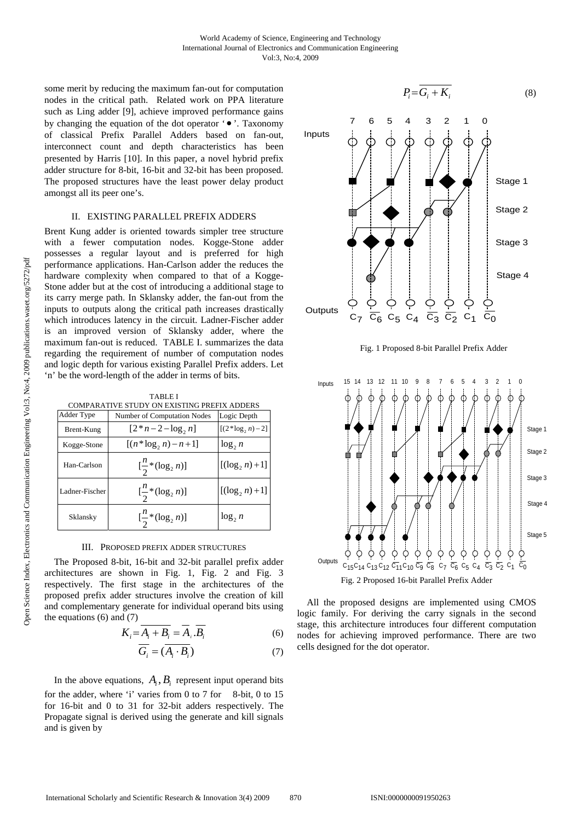some merit by reducing the maximum fan-out for computation nodes in the critical path. Related work on PPA literature such as Ling adder [9], achieve improved performance gains by changing the equation of the dot operator  $\cdot \bullet$ . Taxonomy of classical Prefix Parallel Adders based on fan-out, interconnect count and depth characteristics has been presented by Harris [10]. In this paper, a novel hybrid prefix adder structure for 8-bit, 16-bit and 32-bit has been proposed. The proposed structures have the least power delay product amongst all its peer one's.

# II. EXISTING PARALLEL PREFIX ADDERS

Brent Kung adder is oriented towards simpler tree structure with a fewer computation nodes. Kogge-Stone adder possesses a regular layout and is preferred for high performance applications. Han-Carlson adder the reduces the hardware complexity when compared to that of a Kogge-Stone adder but at the cost of introducing a additional stage to its carry merge path. In Sklansky adder, the fan-out from the inputs to outputs along the critical path increases drastically which introduces latency in the circuit. Ladner-Fischer adder is an improved version of Sklansky adder, where the maximum fan-out is reduced. TABLE I. summarizes the data regarding the requirement of number of computation nodes and logic depth for various existing Parallel Prefix adders. Let 'n' be the word-length of the adder in terms of bits.

| TABLE I<br>COMPARATIVE STUDY ON EXISTING PREFIX ADDERS |                                         |                      |  |
|--------------------------------------------------------|-----------------------------------------|----------------------|--|
| <b>Adder Type</b>                                      | <b>Number of Computation Nodes</b>      | Logic Depth          |  |
| Brent-Kung                                             | $[2*n-2-\log,n]$                        | $[(2 * log, n) - 2]$ |  |
| Kogge-Stone                                            | $[(n * log, n) - n + 1]$                | $\log_2 n$           |  |
| Han-Carlson                                            | $\left[\frac{n}{2}*(\log_2 n)\right]$   | $[(\log_2 n) + 1]$   |  |
| Ladner-Fischer                                         | $\left[\frac{n}{2}*(\log_2 n)\right]$   | $[(\log_2 n) + 1]$   |  |
| Sklansky                                               | $\left[\frac{n}{2} * (\log_2 n)\right]$ | $log_2 n$            |  |

## III. PROPOSED PREFIX ADDER STRUCTURES

The Proposed 8-bit, 16-bit and 32-bit parallel prefix adder architectures are shown in Fig. 1, Fig. 2 and Fig. 3 respectively. The first stage in the architectures of the proposed prefix adder structures involve the creation of kill and complementary generate for individual operand bits using the equations  $(6)$  and  $(7)$ 

$$
K_i = \overline{A_i + B_i} = \overline{A_i} \cdot \overline{B_i}
$$
 (6)

$$
\overline{G_i} = (\overline{A_i \cdot B_i}) \tag{7}
$$

In the above equations,  $A_i$ ,  $B_i$  represent input operand bits for the adder, where 'i' varies from 0 to 7 for 8-bit, 0 to 15 for 16-bit and 0 to 31 for 32-bit adders respectively. The Propagate signal is derived using the generate and kill signals and is given by







All the proposed designs are implemented using CMOS logic family. For deriving the carry signals in the second stage, this architecture introduces four different computation nodes for achieving improved performance. There are two cells designed for the dot operator.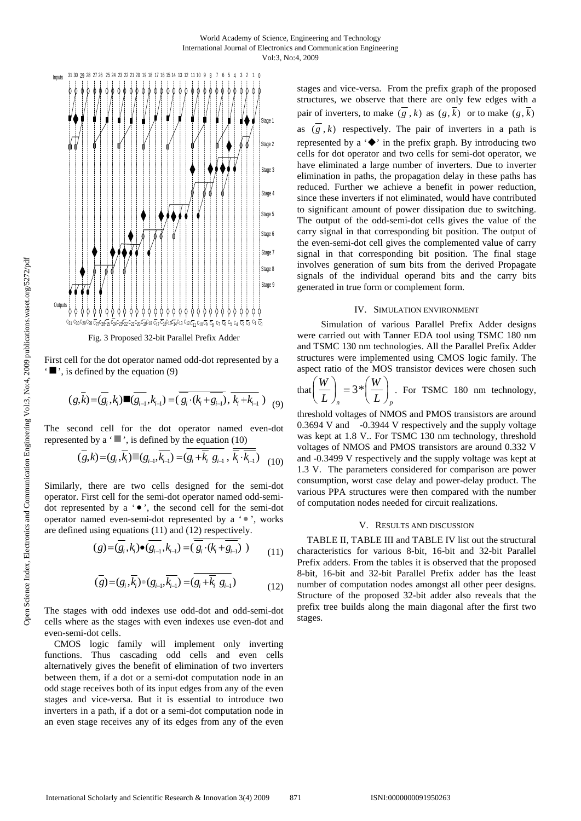

First cell for the dot operator named odd-dot represented by a  $\blacksquare$ , is defined by the equation (9)

$$
(g,\bar{k}) = (\overline{g_i}, k_i) \blacksquare (\overline{g_{i-1}}, k_{i-1}) = (\overline{\overline{g_i} \cdot (k_i + \overline{g_{i-1}})}, \overline{k_i + k_{i-1}}) (9)
$$

The second cell for the dot operator named even-dot represented by a  $\cdot$   $\cdot$ , is defined by the equation (10)

$$
(\overline{g},\overline{k}) = (g_i, \overline{k_i}) \quad (g_{i-1}, \overline{k_{i-1}}) = (\overline{g_i + \overline{k_i} \ g_{i-1}}, \ \overline{\overline{k_i} \cdot \overline{k_{i-1}}}) \quad (10)
$$

Similarly, there are two cells designed for the semi-dot operator. First cell for the semi-dot operator named odd-semidot represented by a  $\bullet$ , the second cell for the semi-dot operator named even-semi-dot represented by a ' • ', works are defined using equations (11) and (12) respectively.

$$
(g) = (\overline{g_i}, k_i) \bullet (\overline{g_{i-1}}, k_{i-1}) = (\overline{g_i} \cdot (k_i + \overline{g_{i-1}})) \tag{11}
$$

$$
(\overline{g}) = (g_i, \overline{k_i}) \bullet (g_{i-1}, \overline{k_{i-1}}) = (\overline{g_i + \overline{k_i} \ g_{i-1}})
$$
(12)

The stages with odd indexes use odd-dot and odd-semi-dot cells where as the stages with even indexes use even-dot and even-semi-dot cells.

CMOS logic family will implement only inverting functions. Thus cascading odd cells and even cells alternatively gives the benefit of elimination of two inverters between them, if a dot or a semi-dot computation node in an odd stage receives both of its input edges from any of the even stages and vice-versa. But it is essential to introduce two inverters in a path, if a dot or a semi-dot computation node in an even stage receives any of its edges from any of the even stages and vice-versa. From the prefix graph of the proposed structures, we observe that there are only few edges with a pair of inverters, to make  $(g, k)$  as  $(g, \overline{k})$  or to make  $(g, \overline{k})$ as  $(g, k)$  respectively. The pair of inverters in a path is represented by a  $\leftrightarrow$  in the prefix graph. By introducing two cells for dot operator and two cells for semi-dot operator, we have eliminated a large number of inverters. Due to inverter elimination in paths, the propagation delay in these paths has reduced. Further we achieve a benefit in power reduction, since these inverters if not eliminated, would have contributed to significant amount of power dissipation due to switching. The output of the odd-semi-dot cells gives the value of the carry signal in that corresponding bit position. The output of the even-semi-dot cell gives the complemented value of carry signal in that corresponding bit position. The final stage involves generation of sum bits from the derived Propagate signals of the individual operand bits and the carry bits generated in true form or complement form.

### IV. SIMULATION ENVIRONMENT

Simulation of various Parallel Prefix Adder designs were carried out with Tanner EDA tool using TSMC 180 nm and TSMC 130 nm technologies. All the Parallel Prefix Adder structures were implemented using CMOS logic family. The aspect ratio of the MOS transistor devices were chosen such

that 
$$
\left(\frac{W}{L}\right)_n = 3 \cdot \left(\frac{W}{L}\right)_p
$$
. For TSMC 180 nm technology,

threshold voltages of NMOS and PMOS transistors are around 0.3694 V and -0.3944 V respectively and the supply voltage was kept at 1.8 V.. For TSMC 130 nm technology, threshold voltages of NMOS and PMOS transistors are around 0.332 V and -0.3499 V respectively and the supply voltage was kept at 1.3 V. The parameters considered for comparison are power consumption, worst case delay and power-delay product. The various PPA structures were then compared with the number of computation nodes needed for circuit realizations.

#### V. RESULTS AND DISCUSSION

TABLE II, TABLE III and TABLE IV list out the structural characteristics for various 8-bit, 16-bit and 32-bit Parallel Prefix adders. From the tables it is observed that the proposed 8-bit, 16-bit and 32-bit Parallel Prefix adder has the least number of computation nodes amongst all other peer designs. Structure of the proposed 32-bit adder also reveals that the prefix tree builds along the main diagonal after the first two stages.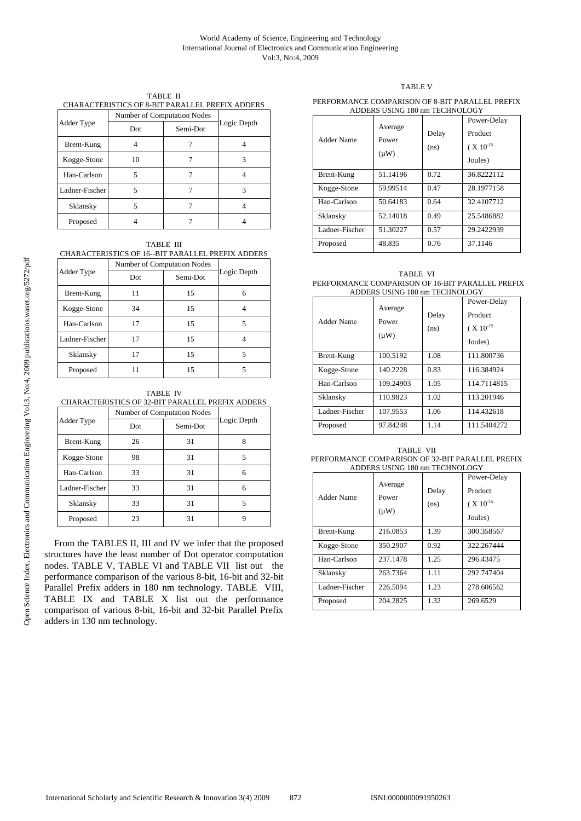CHARACTERISTICS OF 8-BIT PARALLEL PREFIX ADDERS

|                | Number of Computation Nodes |          |             |
|----------------|-----------------------------|----------|-------------|
| Adder Type     | Dot                         | Semi-Dot | Logic Depth |
| Brent-Kung     |                             |          |             |
| Kogge-Stone    | 10                          |          | 3           |
| Han-Carlson    | 5                           |          |             |
| Ladner-Fischer | 5                           |          | 3           |
| Sklansky       |                             |          |             |
| Proposed       |                             |          |             |

TABLE III

| <b>CHARACTERISTICS OF 16--BIT PARALLEL PREFIX ADDERS</b> |                             |          |             |
|----------------------------------------------------------|-----------------------------|----------|-------------|
|                                                          | Number of Computation Nodes |          |             |
| Adder Type                                               | Dot                         | Semi-Dot | Logic Depth |
| Brent-Kung                                               | 11                          | 15       | 6           |
| Kogge-Stone                                              | 34                          | 15       | 4           |
| Han-Carlson                                              | 17                          | 15       | 5           |
| Ladner-Fischer                                           | 17                          | 15       | 4           |
| Sklansky                                                 | 17                          | 15       | 5           |
| Proposed                                                 | 11                          | 15       | 5           |

TABLE IV

| CHARACTERISTICS OF 32-BIT PARALLEL PREFIX ADDERS |  |
|--------------------------------------------------|--|
| Number of Computation Nodes                      |  |

|                | <b>TValliber</b> of Computation Poucs |          |             |
|----------------|---------------------------------------|----------|-------------|
| Adder Type     | Dot                                   | Semi-Dot | Logic Depth |
| Brent-Kung     | 26                                    | 31       | 8           |
| Kogge-Stone    | 98                                    | 31       | 5           |
| Han-Carlson    | 33                                    | 31       | 6           |
| Ladner-Fischer | 33                                    | 31       | 6           |
| Sklansky       | 33                                    | 31       | 5           |
| Proposed       | 23                                    | 31       |             |

From the TABLES II, III and IV we infer that the proposed structures have the least number of Dot operator computation nodes. TABLE V, TABLE VI and TABLE VII list out the performance comparison of the various 8-bit, 16-bit and 32-bit Parallel Prefix adders in 180 nm technology. TABLE VIII, TABLE IX and TABLE X list out the performance comparison of various 8-bit, 16-bit and 32-bit Parallel Prefix adders in 130 nm technology.

# TABLE V

#### PERFORMANCE COMPARISON OF 8-BIT PARALLEL PREFIX ADDERS USING 180 nm TECHNOLOGY

| <b>Adder Name</b> | Average<br>Power<br>$(\mu W)$ | Delay<br>(ns) | Power-Delay<br>Product<br>$(X 10^{-15}$<br>Joules) |
|-------------------|-------------------------------|---------------|----------------------------------------------------|
| Brent-Kung        | 51.14196                      | 0.72          | 36.8222112                                         |
| Kogge-Stone       | 59.99514                      | 0.47          | 28.1977158                                         |
| Han-Carlson       | 50.64183                      | 0.64          | 32.4107712                                         |
| Sklansky          | 52.14018                      | 0.49          | 25.5486882                                         |
| Ladner-Fischer    | 51.30227                      | 0.57          | 29.2422939                                         |
| Proposed          | 48.835                        | 0.76          | 37.1146                                            |

| TABLE VI                                         |
|--------------------------------------------------|
| PERFORMANCE COMPARISON OF 16-BIT PARALLEL PREFIX |
| ADDERS USING 180 nm TECHNOLOGY                   |

| Adder Name     | Average<br>Power<br>$(\mu W)$ | Delay<br>(ns) | Power-Delay<br>Product<br>( $X 10^{-15}$<br>Joules) |
|----------------|-------------------------------|---------------|-----------------------------------------------------|
| Brent-Kung     | 100.5192                      | 1.08          | 111.800736                                          |
| Kogge-Stone    | 140.2228                      | 0.83          | 116.384924                                          |
| Han-Carlson    | 109.24903                     | 1.05          | 114.7114815                                         |
| Sklansky       | 110.9823                      | 1.02          | 113.201946                                          |
| Ladner-Fischer | 107.9553                      | 1.06          | 114.432618                                          |
| Proposed       | 97.84248                      | 1.14          | 111.5404272                                         |

TABLE VII PERFORMANCE COMPARISON OF 32-BIT PARALLEL PREFIX ADDERS USING 180 nm TECHNOLOGY

| <b>Adder Name</b> | АРРЕКЭ ОЭНАО 100 ШП ТЕСПИОЕОО Г<br>Average<br>Power<br>$(\mu W)$ | Delay<br>(ns) | Power-Delay<br>Product<br>( $X 10^{-15}$<br>Joules) |
|-------------------|------------------------------------------------------------------|---------------|-----------------------------------------------------|
| Brent-Kung        | 216.0853                                                         | 1.39          | 300.358567                                          |
| Kogge-Stone       | 350.2907                                                         | 0.92          | 322.267444                                          |
| Han-Carlson       | 237.1478                                                         | 1.25          | 296.43475                                           |
| Sklansky          | 263.7364                                                         | 1.11          | 292.747404                                          |
| Ladner-Fischer    | 226.5094                                                         | 1.23          | 278.606562                                          |
| Proposed          | 204.2825                                                         | 1.32          | 269.6529                                            |